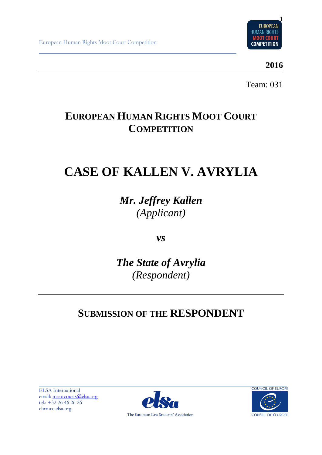

**2016**

Team: 031

# **EUROPEAN HUMAN RIGHTS MOOT COURT COMPETITION**

# **CASE OF KALLEN V. AVRYLIA**

*Mr. Jeffrey Kallen (Applicant)*

*vs*

*The State of Avrylia (Respondent)*

# **SUBMISSION OF THE RESPONDENT**

ELSA International email: [mootcourts@elsa.org](mailto:mootcourts@elsa.org) tel.: +32 26 46 26 26 ehrmcc.elsa.org



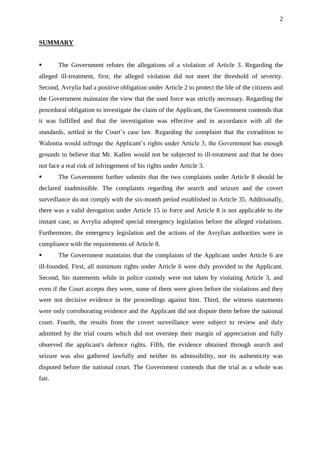#### **SUMMARY**

The Government refutes the allegations of a violation of Article 3. Regarding the alleged ill-treatment, first, the alleged violation did not meet the threshold of severity. Second, Avrylia had a positive obligation under Article 2 to protect the life of the citizens and the Government maintains the view that the used force was strictly necessary. Regarding the procedural obligation to investigate the claim of the Applicant, the Government contends that it was fulfilled and that the investigation was effective and in accordance with all the standards, settled in the Court's case law. Regarding the complaint that the extradition to Walentia would infringe the Applicant's rights under Article 3, the Government has enough grounds to believe that Mr. Kallen would not be subjected to ill-treatment and that he does not face a real risk of infringement of his rights under Article 3.

The Government further submits that the two complaints under Article 8 should be declared inadmissible. The complaints regarding the search and seizure and the covert surveillance do not comply with the six-month period established in Article 35. Additionally, there was a valid derogation under Article 15 in force and Article 8 is not applicable to the instant case, as Avrylia adopted special emergency legislation before the alleged violations. Furthermore, the emergency legislation and the actions of the Avrylian authorities were in compliance with the requirements of Article 8.

The Government maintains that the complaints of the Applicant under Article 6 are ill-founded. First, all minimum rights under Article 6 were duly provided to the Applicant. Second, his statements while in police custody were not taken by violating Article 3, and even if the Court accepts they were, some of them were given before the violations and they were not decisive evidence in the proceedings against him. Third, the witness statements were only corroborating evidence and the Applicant did not dispute them before the national court. Fourth, the results from the covert surveillance were subject to review and duly admitted by the trial courts which did not overstep their margin of appreciation and fully observed the applicant's defence rights. Fifth, the evidence obtained through search and seizure was also gathered lawfully and neither its admissibility, nor its authenticity was disputed before the national court. The Government contends that the trial as a whole was fair.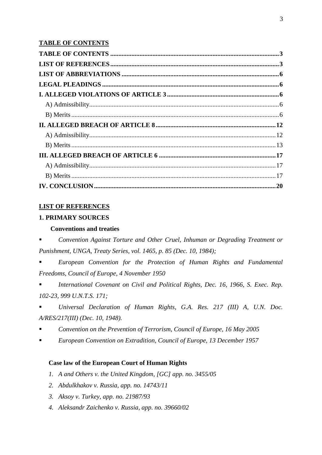# <span id="page-2-0"></span>**TABLE OF CONTENTS**

| IV. CONCLUSION. 20 |  |
|--------------------|--|

# <span id="page-2-1"></span>**LIST OF REFERENCES**

# **1. PRIMARY SOURCES**

# **Conventions and treaties**

▪ *Convention Against Torture and Other Cruel, Inhuman or Degrading Treatment or Punishment, UNGA, Treaty Series, vol. 1465, p. 85 (Dec. 10, 1984);*

European Convention for the Protection of Human Rights and Fundamental *Freedoms, Council of Europe, 4 November 1950*

International Covenant on Civil and Political Rights, Dec. 16, 1966, S. Exec. Rep. *102-23, 999 U.N.T.S. 171;*

▪ *Universal Declaration of Human Rights, G.A. Res. 217 (III) A, U.N. Doc. A/RES/217(III) (Dec. 10, 1948).*

- *Convention on the Prevention of Terrorism, Council of Europe, 16 May 2005*
- *European Convention on Extradition, Council of Europe, 13 December 1957*

# **Case law of the European Court of Human Rights**

- *1. A and Others v. the United Kingdom, [GC] app. no. 3455/05*
- *2. Abdulkhakov v. Russia, app. no. 14743/11*
- *3. Aksoy v. Turkey, app. no. 21987/93*
- *4. Aleksandr Zaichenko v. Russia, app. no. 39660/02*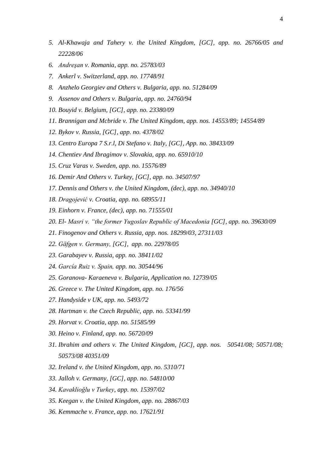- *5. Al-Khawaja and Tahery v. the United Kingdom, [GC], app. no. 26766/05 and 22228/06*
- *6. Andreşan v. Romania, app. no. 25783/03*
- *7. Ankerl v. Switzerland, app. no. 17748/91*
- *8. Anzhelo Georgiev and Others v. Bulgaria, app. no. 51284/09*
- *9. Assenov and Others v. Bulgaria, app. no. 24760/94*
- *10. Bouyid v. Belgium, [GC], app. no. 23380/09*
- *11. Brannigan and Mcbride v. The United Kingdom, app. nos. 14553/89; 14554/89*
- *12. Bykov v. Russia, [GC], app. no. 4378/02*
- *13. Centro Europa 7 S.r.l, Di Stefano v. Italy, [GC], App. no. 38433/09*
- *14. Chentiev And Ibragimov v. Slovakia, app. no. 65910/10*
- *15. Cruz Varas v. Sweden, app. no. 15576/89*
- *16. Demir And Others v. Turkey, [GC], app. no. 34507/97*
- *17. Dennis and Others v. the United Kingdom, (dec), app. no. 34940/10*
- *18. Dragojević v. Croatia, app. no. 68955/11*
- *19. Einhorn v. France, (dec), app. no. 71555/01*
- *20. El- Masri v. "the former Yugoslav Republic of Macedonia [GC], app. no. 39630/09*
- *21. Finogenov and Others v. Russia, app. nos. 18299/03, 27311/03*
- *22. Gäfgen v. Germany, [GC], app. no. 22978/05*
- *23. Garabayev v. Russia, app. no. 38411/02*
- *24. García Ruiz v. Spain, app. no. 30544/96*
- *25. Goranova- Karaeneva v. Bulgaria, Application no. 12739/05*
- *26. Greece v. The United Kingdom, app. no. 176/56*
- *27. Handyside v UK, app. no. 5493/72*
- *28. Hartman v. the Czech Republic, app. no. 53341/99*
- *29. Horvat v. Croatia, app. no. 51585/99*
- *30. Heino v. Finland, app. no. 56720/09*
- *31. Ibrahim and others v. The United Kingdom, [GC], app. nos. 50541/08; 50571/08; 50573/08 40351/09*
- *32. Ireland v. the United Kingdom, app. no. 5310/71*
- *33. Jalloh v. Germany, [GC], app. no. 54810/00*
- *34. Kavaklioğlu v Turkey, app. no. 15397/02*
- *35. Keegan v. the United Kingdom, app. no. 28867/03*
- *36. Kemmache v. France, app. no. 17621/91*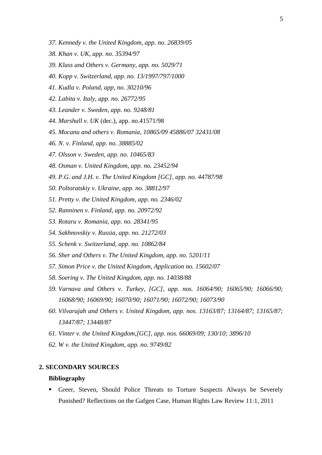- *37. Kennedy v. the United Kingdom, app. no. 26839/05*
- *38. Khan v. UK, app. no. 35394/97*
- *39. Klass and Others v. Germany, app. no. 5029/71*
- *40. Kopp v. Switzerland, app. no. 13/1997/797/1000*
- *41. Kudla v. Poland, app, no. 30210/96*
- *42. Labita v. Italy, app. no. 26772/95*
- *43. Leander v. Sweden, app. no. 9248/81*
- *44. Marshall v. UK* (dec.), app. no.41571/98
- *45. Mocanu and others v. Romania, 10865/09 45886/07 32431/08*
- *46. N. v. Finland, app. no. 38885/02*
- *47. Olsson v. Sweden, app. no. 10465/83*
- *48. Osman v. United Kingdom, app. no. 23452/94*
- *49. P.G. and J.H. v. The United Kingdom [GC], app. no. 44787/98*
- *50. Poltoratskiy v. Ukraine, app. no. 38812/97*
- *51. Pretty v. the United Kingdom, app. no. 2346/02*
- *52. Ranninen v. Finland, app. no. 20972/92*
- *53. Rotaru v. Romania, app. no. 28341/95*
- *54. Sakhnovskiy v. Russia, app. no. 21272/03*
- *55. Schenk v. Switzerland, app. no. 10862/84*
- *56. Sher and Others v. The United Kingdom, app. no. 5201/11*
- *57. Simon Price v. the United Kingdom, Application no. 15602/07*
- *58. Soering v. The United Kingdom, app. no. 14038/88*
- *59. Varnava and Others v. Turkey, [GC], app. nos. 16064/90; 16065/90; 16066/90; 16068/90; 16069/90; 16070/90; 16071/90; 16072/90; 16073/90*
- *60. Vilvarajah and Others v. United Kingdom, app. nos. 13163/87; 13164/87; 13165/87; 13447/87; 13448/87*
- *61. Vinter v. the United Kingdom,[GC], app. nos. 66069/09; 130/10; 3896/10*
- *62. W v. the United Kingdom, app. no. 9749/82*

#### **2. SECONDARY SOURCES**

#### **Bibliography**

Greer, Steven, Should Police Threats to Torture Suspects Always be Severely Punished? Reflections on the Gafgen Case, Human Rights Law Review 11:1, 2011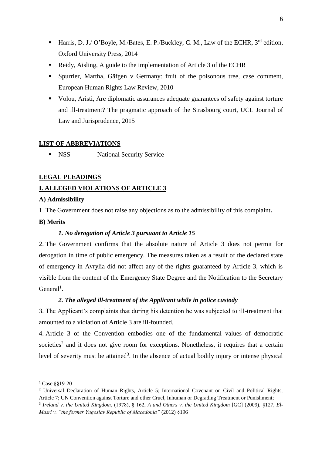- Harris, D. J./ O'Boyle, M./Bates, E. P./Buckley, C. M., Law of the ECHR, 3<sup>rd</sup> edition, Oxford University Press, 2014
- Reidy, Aisling, A guide to the implementation of Article 3 of the ECHR
- Spurrier, Martha, Gäfgen v Germany: fruit of the poisonous tree, case comment, European Human Rights Law Review, 2010
- Volou, Aristi, Are diplomatic assurances adequate guarantees of safety against torture and ill-treatment? The pragmatic approach of the Strasbourg court, UCL Journal of Law and Jurisprudence, 2015

#### <span id="page-5-0"></span>**LIST OF ABBREVIATIONS**

**EXECUTE:** NSS National Security Service

# <span id="page-5-1"></span>**LEGAL PLEADINGS**

### <span id="page-5-2"></span>**I. ALLEGED VIOLATIONS OF ARTICLE 3**

### <span id="page-5-3"></span>**A) Admissibility**

1. The Government does not raise any objections as to the admissibility of this complaint**.**

# <span id="page-5-4"></span>**B) Merits**

#### *1. No derogation of Article 3 pursuant to Article 15*

2. The Government confirms that the absolute nature of Article 3 does not permit for derogation in time of public emergency. The measures taken as a result of the declared state of emergency in Avrylia did not affect any of the rights guaranteed by Article 3, which is visible from the content of the Emergency State Degree and the Notification to the Secretary  $General<sup>1</sup>$ .

# *2. The alleged ill-treatment of the Applicant while in police custody*

3. The Applicant's complaints that during his detention he was subjected to ill-treatment that amounted to a violation of Article 3 are ill-founded.

4. Article 3 of the Convention embodies one of the fundamental values of democratic societies<sup>2</sup> and it does not give room for exceptions. Nonetheless, it requires that a certain level of severity must be attained<sup>3</sup>. In the absence of actual bodily injury or intense physical

<sup>1</sup> Case §§19-20

<sup>&</sup>lt;sup>2</sup> Universal Declaration of Human Rights, Article 5; International Covenant on Civil and Political Rights, Article 7; UN Convention against Torture and other Cruel, Inhuman or Degrading Treatment or Punishment;

<sup>3</sup> *Ireland v. the United Kingdom*, (1978), § 162, *A and Others v. the United Kingdom* [GC] (2009), §127, *El-Masri v. "the former Yugoslav Republic of Macedonia"* (2012) §196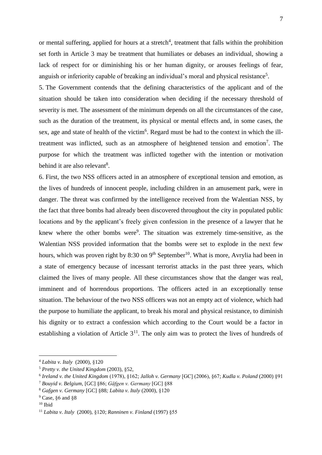or mental suffering, applied for hours at a stretch<sup>4</sup>, treatment that falls within the prohibition set forth in Article 3 may be treatment that humiliates or debases an individual, showing a lack of respect for or diminishing his or her human dignity, or arouses feelings of fear, anguish or inferiority capable of breaking an individual's moral and physical resistance<sup>5</sup>.

5. The Government contends that the defining characteristics of the applicant and of the situation should be taken into consideration when deciding if the necessary threshold of severity is met. The assessment of the minimum depends on all the circumstances of the case, such as the duration of the treatment, its physical or mental effects and, in some cases, the sex, age and state of health of the victim<sup>6</sup>. Regard must be had to the context in which the illtreatment was inflicted, such as an atmosphere of heightened tension and emotion<sup>7</sup>. The purpose for which the treatment was inflicted together with the intention or motivation behind it are also relevant<sup>8</sup>.

6. First, the two NSS officers acted in an atmosphere of exceptional tension and emotion, as the lives of hundreds of innocent people, including children in an amusement park, were in danger. The threat was confirmed by the intelligence received from the Walentian NSS, by the fact that three bombs had already been discovered throughout the city in populated public locations and by the applicant's freely given confession in the presence of a lawyer that he knew where the other bombs were<sup>9</sup>. The situation was extremely time-sensitive, as the Walentian NSS provided information that the bombs were set to explode in the next few hours, which was proven right by 8:30 on  $9<sup>th</sup>$  September<sup>10</sup>. What is more, Avrylia had been in a state of emergency because of incessant terrorist attacks in the past three years, which claimed the lives of many people. All these circumstances show that the danger was real, imminent and of horrendous proportions. The officers acted in an exceptionally tense situation. The behaviour of the two NSS officers was not an empty act of violence, which had the purpose to humiliate the applicant, to break his moral and physical resistance, to diminish his dignity or to extract a confession which according to the Court would be a factor in establishing a violation of Article  $3<sup>11</sup>$ . The only aim was to protect the lives of hundreds of

<sup>4</sup> *Labita v. Italy* (2000), §120

<sup>5</sup> *Pretty v. the United Kingdom* (2003), §52,

<sup>6</sup> *Ireland v. the United Kingdom* (1978), §162; *Jalloh v. Germany* [GC] (2006), §67; *Kudla v. Poland* (2000) §91

<sup>7</sup> *Bouyid v. Belgium*, [GC] §86; *Gäfgen v. Germany* [GC] §88

<sup>8</sup> *Gafgen v. Germany* [GC] §88*; Labita v. Italy* (2000), §120

<sup>9</sup> Case, §6 and §8

 $10$  Ibid

<sup>11</sup> *Labita v. Italy* (2000), §120; *Ranninen v. Finland* (1997) §55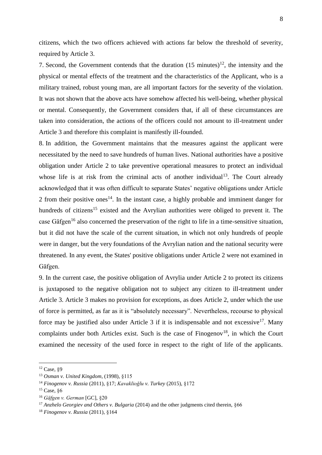citizens, which the two officers achieved with actions far below the threshold of severity, required by Article 3.

7. Second, the Government contends that the duration  $(15 \text{ minutes})^{12}$ , the intensity and the physical or mental effects of the treatment and the characteristics of the Applicant, who is a military trained, robust young man, are all important factors for the severity of the violation. It was not shown that the above acts have somehow affected his well-being, whether physical or mental. Consequently, the Government considers that, if all of these circumstances are taken into consideration, the actions of the officers could not amount to ill-treatment under Article 3 and therefore this complaint is manifestly ill-founded.

8. In addition, the Government maintains that the measures against the applicant were necessitated by the need to save hundreds of human lives. National authorities have a positive obligation under Article 2 to take preventive operational measures to protect an individual whose life is at risk from the criminal acts of another individual<sup>13</sup>. The Court already acknowledged that it was often difficult to separate States' negative obligations under Article 2 from their positive ones<sup>14</sup>. In the instant case, a highly probable and imminent danger for hundreds of citizens<sup>15</sup> existed and the Avrylian authorities were obliged to prevent it. The case Gäfgen<sup>16</sup> also concerned the preservation of the right to life in a time-sensitive situation, but it did not have the scale of the current situation, in which not only hundreds of people were in danger, but the very foundations of the Avrylian nation and the national security were threatened. In any event, the States' positive obligations under Article 2 were not examined in Gäfgen.

9. In the current case, the positive obligation of Avrylia under Article 2 to protect its citizens is juxtaposed to the negative obligation not to subject any citizen to ill-treatment under Article 3. Article 3 makes no provision for exceptions, as does Article 2, under which the use of force is permitted, as far as it is "absolutely necessary". Nevertheless, recourse to physical force may be justified also under Article 3 if it is indispensable and not excessive<sup>17</sup>. Many complaints under both Articles exist. Such is the case of  $Finogenov<sup>18</sup>$ , in which the Court examined the necessity of the used force in respect to the right of life of the applicants.

<sup>12</sup> Case, §9

<sup>13</sup> *Osman v. United Kingdom*, (1998), §115

<sup>14</sup> *Finogenov v. Russia* (2011), §17; *Kavaklioğlu v. Turkey* (2015), §172

<sup>15</sup> Case, §6

<sup>16</sup> *Gäfgen v. German* [GC], §20

<sup>&</sup>lt;sup>17</sup> *Anzhelo Georgiev and Others v. Bulgaria* (2014) and the other judgments cited therein, §66

<sup>18</sup> *Finogenov v. Russia* (2011), §164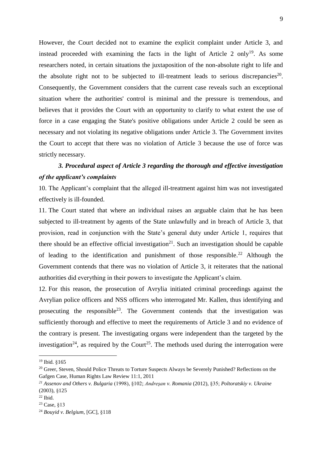However, the Court decided not to examine the explicit complaint under Article 3, and instead proceeded with examining the facts in the light of Article 2 only<sup>19</sup>. As some researchers noted, in certain situations the juxtaposition of the non-absolute right to life and the absolute right not to be subjected to ill-treatment leads to serious discrepancies<sup>20</sup>. Consequently, the Government considers that the current case reveals such an exceptional situation where the authorities' control is minimal and the pressure is tremendous, and believes that it provides the Court with an opportunity to clarify to what extent the use of force in a case engaging the State's positive obligations under Article 2 could be seen as necessary and not violating its negative obligations under Article 3. The Government invites the Court to accept that there was no violation of Article 3 because the use of force was strictly necessary.

# *3. Procedural aspect of Article 3 regarding the thorough and effective investigation of the applicant's complaints*

10. The Applicant's complaint that the alleged ill-treatment against him was not investigated effectively is ill-founded.

11. The Court stated that where an individual raises an arguable claim that he has been subjected to ill-treatment by agents of the State unlawfully and in breach of Article 3, that provision, read in conjunction with the State's general duty under Article 1, requires that there should be an effective official investigation<sup>21</sup>. Such an investigation should be capable of leading to the identification and punishment of those responsible.<sup>22</sup> Although the Government contends that there was no violation of Article 3, it reiterates that the national authorities did everything in their powers to investigate the Applicant's claim.

12. For this reason, the prosecution of Avrylia initiated criminal proceedings against the Avrylian police officers and NSS officers who interrogated Mr. Kallen, thus identifying and prosecuting the responsible<sup>23</sup>. The Government contends that the investigation was sufficiently thorough and effective to meet the requirements of Article 3 and no evidence of the contrary is present. The investigating organs were independent than the targeted by the investigation<sup>24</sup>, as required by the Court<sup>25</sup>. The methods used during the interrogation were

<sup>19</sup> Ibid. §165

<sup>&</sup>lt;sup>20</sup> Greer, Steven, Should Police Threats to Torture Suspects Always be Severely Punished? Reflections on the Gafgen Case, Human Rights Law Review 11:1, 2011

*<sup>21</sup> Assenov and Others v. Bulgaria* (1998), §102; *Andreşan v. Romania* (2012), §35; *Poltoratskiy v. Ukraine* (2003), §125

 $22$  Ibid.

<sup>23</sup> Case, §13

<sup>24</sup> *Bouyid v. Belgium*, [GC], §118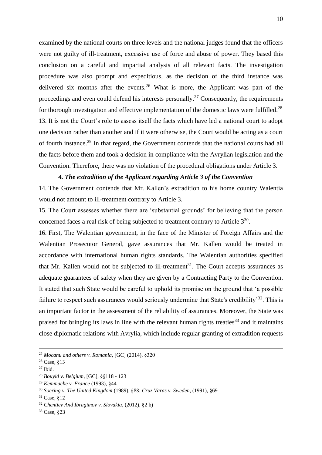examined by the national courts on three levels and the national judges found that the officers were not guilty of ill-treatment, excessive use of force and abuse of power. They based this conclusion on a careful and impartial analysis of all relevant facts. The investigation procedure was also prompt and expeditious, as the decision of the third instance was delivered six months after the events.<sup>26</sup> What is more, the Applicant was part of the proceedings and even could defend his interests personally.<sup>27</sup> Consequently, the requirements for thorough investigation and effective implementation of the domestic laws were fulfilled.<sup>28</sup> 13. It is not the Court's role to assess itself the facts which have led a national court to adopt one decision rather than another and if it were otherwise, the Court would be acting as a court of fourth instance.<sup>29</sup> In that regard, the Government contends that the national courts had all the facts before them and took a decision in compliance with the Avrylian legislation and the Convention. Therefore, there was no violation of the procedural obligations under Article 3.

#### *4. The extradition of the Applicant regarding Article 3 of the Convention*

14. The Government contends that Mr. Kallen's extradition to his home country Walentia would not amount to ill-treatment contrary to Article 3.

15. The Court assesses whether there are 'substantial grounds' for believing that the person concerned faces a real risk of being subjected to treatment contrary to Article  $3^{30}$ .

16. First, The Walentian government, in the face of the Minister of Foreign Affairs and the Walentian Prosecutor General, gave assurances that Mr. Kallen would be treated in accordance with international human rights standards. The Walentian authorities specified that Mr. Kallen would not be subjected to ill-treatment<sup>31</sup>. The Court accepts assurances as adequate guarantees of safety when they are given by a Contracting Party to the Convention. It stated that such State would be careful to uphold its promise on the ground that 'a possible failure to respect such assurances would seriously undermine that State's credibility<sup>32</sup>. This is an important factor in the assessment of the reliability of assurances. Moreover, the State was praised for bringing its laws in line with the relevant human rights treaties<sup>33</sup> and it maintains close diplomatic relations with Avrylia, which include regular granting of extradition requests

<sup>25</sup> *Mocanu and others v. Romania*, [GC] (2014), §320

<sup>26</sup> Case, §13

 $27$  Ibid.

<sup>28</sup> *Bouyid v. Belgium*, [GC], §§118 - 123

<sup>29</sup> *Kemmache v. France* (1993), §44

<sup>30</sup> *Soering v. The United Kingdom* (1989), §88; *Cruz Varas v. Sweden*, (1991), §69

<sup>31</sup> Case, §12

<sup>32</sup> *Chentiev And Ibragimov v. Slovakia*, (2012), §2 b)

<sup>33</sup> Case, §23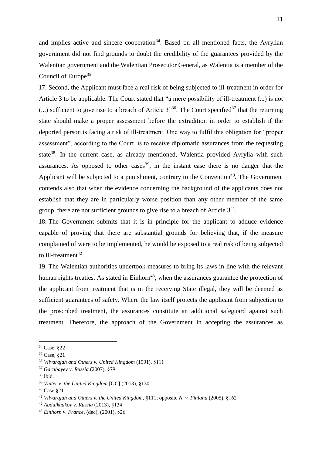and implies active and sincere cooperation<sup>34</sup>. Based on all mentioned facts, the Avrylian government did not find grounds to doubt the credibility of the guarantees provided by the Walentian government and the Walentian Prosecutor General, as Walentia is a member of the Council of Europe<sup>35</sup>.

17. Second, the Applicant must face a real risk of being subjected to ill-treatment in order for Article 3 to be applicable. The Court stated that "a mere possibility of ill-treatment (...) is not (...) sufficient to give rise to a breach of Article  $3^{3,36}$ . The Court specified<sup>37</sup> that the returning state should make a proper assessment before the extradition in order to establish if the deported person is facing a risk of ill-treatment. One way to fulfil this obligation for "proper assessment", according to the Court, is to receive diplomatic assurances from the requesting state<sup>38</sup>. In the current case, as already mentioned, Walentia provided Avrylia with such assurances. As opposed to other cases<sup>39</sup>, in the instant case there is no danger that the Applicant will be subjected to a punishment, contrary to the Convention<sup>40</sup>. The Government contends also that when the evidence concerning the background of the applicants does not establish that they are in particularly worse position than any other member of the same group, there are not sufficient grounds to give rise to a breach of Article  $3<sup>41</sup>$ .

18. The Government submits that it is in principle for the applicant to adduce evidence capable of proving that there are substantial grounds for believing that, if the measure complained of were to be implemented, he would be exposed to a real risk of being subjected to ill-treatment<sup>42</sup>.

19. The Walentian authorities undertook measures to bring its laws in line with the relevant human rights treaties. As stated in  $Einhorn<sup>43</sup>$ , when the assurances guarantee the protection of the applicant from treatment that is in the receiving State illegal, they will be deemed as sufficient guarantees of safety. Where the law itself protects the applicant from subjection to the proscribed treatment, the assurances constitute an additional safeguard against such treatment. Therefore, the approach of the Government in accepting the assurances as

<sup>34</sup> Case, §22

<sup>35</sup> Case, §21

<sup>36</sup> *Vilvarajah and Others v. United Kingdom* (1991), §111

<sup>37</sup> *Garabayev v. Russia* (2007), §79

<sup>38</sup> Ibid.

<sup>39</sup> *Vinter v. the United Kingdom* [GC] (2013), §130

<sup>40</sup> Case §21

<sup>41</sup> *Vilvarajah and Others v. the United Kingdom*, §111; opposite *N. v. Finland* (2005), §162

<sup>42</sup> *Abdulkhakov v. Russia* (2013), §134

<sup>43</sup> *Einhorn v. France*, (dec), (2001), §26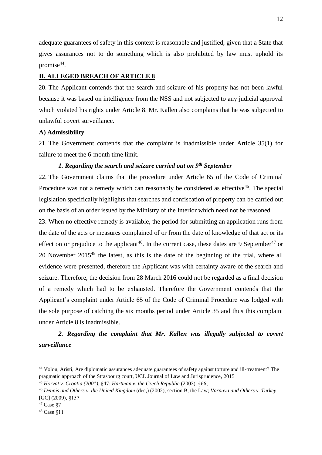adequate guarantees of safety in this context is reasonable and justified, given that a State that gives assurances not to do something which is also prohibited by law must uphold its promise<sup>44</sup>.

# <span id="page-11-0"></span>**II. ALLEGED BREACH OF ARTICLE 8**

20. The Applicant contends that the search and seizure of his property has not been lawful because it was based on intelligence from the NSS and not subjected to any judicial approval which violated his rights under Article 8. Mr. Kallen also complains that he was subjected to unlawful covert surveillance.

#### <span id="page-11-1"></span>**A) Admissibility**

21. The Government contends that the complaint is inadmissible under Article 35(1) for failure to meet the 6-month time limit.

# *1. Regarding the search and seizure carried out on 9th September*

22. The Government claims that the procedure under Article 65 of the Code of Criminal Procedure was not a remedy which can reasonably be considered as effective<sup>45</sup>. The special legislation specifically highlights that searches and confiscation of property can be carried out on the basis of an order issued by the Ministry of the Interior which need not be reasoned.

23. When no effective remedy is available, the period for submitting an application runs from the date of the acts or measures complained of or from the date of knowledge of that act or its effect on or prejudice to the applicant<sup>46</sup>. In the current case, these dates are 9 September<sup>47</sup> or 20 November 2015<sup>48</sup> the latest, as this is the date of the beginning of the trial, where all evidence were presented, therefore the Applicant was with certainty aware of the search and seizure. Therefore, the decision from 28 March 2016 could not be regarded as a final decision of a remedy which had to be exhausted. Therefore the Government contends that the Applicant's complaint under Article 65 of the Code of Criminal Procedure was lodged with the sole purpose of catching the six months period under Article 35 and thus this complaint under Article 8 is inadmissible.

# *2. Regarding the complaint that Mr. Kallen was illegally subjected to covert surveillance*

<sup>44</sup> Volou, Aristi, Are diplomatic assurances adequate guarantees of safety against torture and ill-treatment? The pragmatic approach of the Strasbourg court, UCL Journal of Law and Jurisprudence, 2015

<sup>45</sup> *Horvat v. Croatia (2001),* §47; *Hartman v. the Czech Republic* (2003), §66;

<sup>46</sup> *Dennis and Others v. the United Kingdom* (dec,) (2002), section B, the Law; *Varnava and Others v. Turkey* [GC] (2009), §157

<sup>47</sup> Case §7

<sup>48</sup> Case §11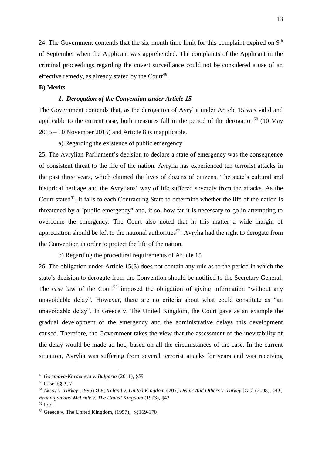24. The Government contends that the six-month time limit for this complaint expired on  $9<sup>th</sup>$ of September when the Applicant was apprehended. The complaints of the Applicant in the criminal proceedings regarding the covert surveillance could not be considered a use of an effective remedy, as already stated by the Court<sup>49</sup>.

#### <span id="page-12-0"></span>**B) Merits**

#### *1. Derogation of the Convention under Article 15*

The Government contends that, as the derogation of Avrylia under Article 15 was valid and applicable to the current case, both measures fall in the period of the derogation<sup>50</sup> (10 May 2015 – 10 November 2015) and Article 8 is inapplicable.

a) Regarding the existence of public emergency

25. The Avrylian Parliament's decision to declare a state of emergency was the consequence of consistent threat to the life of the nation. Avrylia has experienced ten terrorist attacks in the past three years, which claimed the lives of dozens of citizens. The state's cultural and historical heritage and the Avrylians' way of life suffered severely from the attacks. As the Court stated<sup>51</sup>, it falls to each Contracting State to determine whether the life of the nation is threatened by a "public emergency" and, if so, how far it is necessary to go in attempting to overcome the emergency. The Court also noted that in this matter a wide margin of appreciation should be left to the national authorities<sup>52</sup>. Avrylia had the right to derogate from the Convention in order to protect the life of the nation.

b) Regarding the procedural requirements of Article 15

26. The obligation under Article 15(3) does not contain any rule as to the period in which the state's decision to derogate from the Convention should be notified to the Secretary General. The case law of the Court<sup>53</sup> imposed the obligation of giving information "without any unavoidable delay". However, there are no criteria about what could constitute as "an unavoidable delay". In Greece v. The United Kingdom*,* the Court gave as an example the gradual development of the emergency and the administrative delays this development caused. Therefore, the Government takes the view that the assessment of the inevitability of the delay would be made ad hoc, based on all the circumstances of the case. In the current situation, Avrylia was suffering from several terrorist attacks for years and was receiving

<sup>49</sup> *Goranova-Karaeneva v. Bulgaria* (2011), §59

<sup>50</sup> Case, §§ 3, 7

<sup>51</sup> *Aksoy v. Turkey* (1996) §68; *Ireland v. United Kingdom* §207*; Demir And Others v. Turkey* [GC] (2008), §43; *Brannigan and Mcbride v. The United Kingdom* (1993), §43

<sup>52</sup> Ibid.

<sup>53</sup> Greece v. The United Kingdom, (1957), §§169-170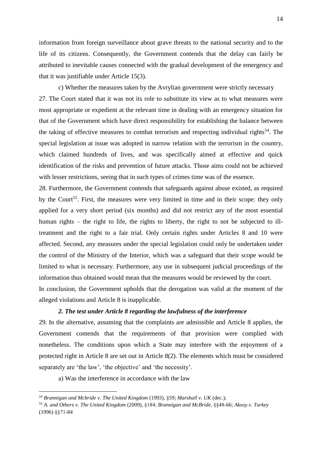information from foreign surveillance about grave threats to the national security and to the life of its citizens. Consequently, the Government contends that the delay can fairly be attributed to inevitable causes connected with the gradual development of the emergency and that it was justifiable under Article 15(3).

c) Whether the measures taken by the Avrylian government were strictly necessary 27. The Court stated that it was not its role to substitute its view as to what measures were most appropriate or expedient at the relevant time in dealing with an emergency situation for that of the Government which have direct responsibility for establishing the balance between the taking of effective measures to combat terrorism and respecting individual rights<sup>54</sup>. The special legislation at issue was adopted in narrow relation with the terrorism in the country, which claimed hundreds of lives, and was specifically aimed at effective and quick identification of the risks and prevention of future attacks. Those aims could not be achieved with lesser restrictions, seeing that in such types of crimes time was of the essence.

28. Furthermore, the Government contends that safeguards against abuse existed, as required by the Court<sup>55</sup>. First, the measures were very limited in time and in their scope: they only applied for a very short period (six months) and did not restrict any of the most essential human rights – the right to life, the rights to liberty, the right to not be subjected to illtreatment and the right to a fair trial. Only certain rights under Articles 8 and 10 were affected. Second, any measures under the special legislation could only be undertaken under the control of the Ministry of the Interior, which was a safeguard that their scope would be limited to what is necessary. Furthermore, any use in subsequent judicial proceedings of the information thus obtained would mean that the measures would be reviewed by the court.

In conclusion, the Government upholds that the derogation was valid at the moment of the alleged violations and Article 8 is inapplicable.

# *2. The test under Article 8 regarding the lawfulness of the interference*

29. In the alternative, assuming that the complaints are admissible and Article 8 applies, the Government contends that the requirements of that provision were complied with nonetheless. The conditions upon which a State may interfere with the enjoyment of a protected right in Article 8 are set out in Article 8(2). The elements which must be considered separately are 'the law', 'the objective' and 'the necessity'.

a) Was the interference in accordance with the law

*<sup>54</sup> Brannigan and Mcbride v. The United Kingdom* (1993), §59; *Marshall v. UK* (dec.);

<sup>55</sup> *A. and Others v. The United Kingdom* (2009), §184; *Brannigan and McBride*, §§48-66; *Aksoy.v. Turkey* (1996) §§71-84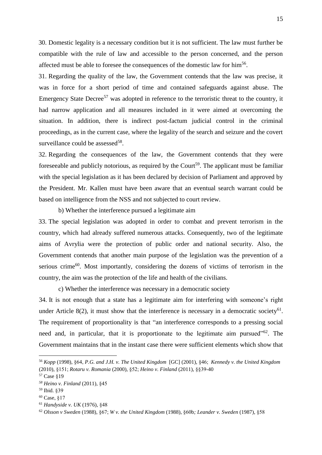30. Domestic legality is a necessary condition but it is not sufficient. The law must further be compatible with the rule of law and accessible to the person concerned, and the person affected must be able to foresee the consequences of the domestic law for him<sup>56</sup>.

31. Regarding the quality of the law, the Government contends that the law was precise, it was in force for a short period of time and contained safeguards against abuse. The Emergency State Decree<sup>57</sup> was adopted in reference to the terroristic threat to the country, it had narrow application and all measures included in it were aimed at overcoming the situation. In addition, there is indirect post-factum judicial control in the criminal proceedings, as in the current case, where the legality of the search and seizure and the covert surveillance could be assessed<sup>58</sup>.

32. Regarding the consequences of the law, the Government contends that they were foreseeable and publicly notorious, as required by the Court<sup>59</sup>. The applicant must be familiar with the special legislation as it has been declared by decision of Parliament and approved by the President. Mr. Kallen must have been aware that an eventual search warrant could be based on intelligence from the NSS and not subjected to court review.

b) Whether the interference pursued a legitimate aim

33. The special legislation was adopted in order to combat and prevent terrorism in the country, which had already suffered numerous attacks. Consequently, two of the legitimate aims of Avrylia were the protection of public order and national security. Also, the Government contends that another main purpose of the legislation was the prevention of a serious crime<sup>60</sup>. Most importantly, considering the dozens of victims of terrorism in the country, the aim was the protection of the life and health of the civilians.

c) Whether the interference was necessary in a democratic society

34. It is not enough that a state has a legitimate aim for interfering with someone's right under Article 8(2), it must show that the interference is necessary in a democratic society<sup>61</sup>. The requirement of proportionality is that "an interference corresponds to a pressing social need and, in particular, that it is proportionate to the legitimate aim pursued"<sup>62</sup>. The Government maintains that in the instant case there were sufficient elements which show that

<sup>56</sup> *Kopp* (1998), §64, *P.G. and J.H. v. The United Kingdom* [GC] (2001), §46; *Kennedy v. the United Kingdom* (2010), §151; *Rotaru v. Romania* (2000), §52; *Heino v. Finland* (2011), §§39-40

<sup>57</sup> Case §19

*<sup>58</sup> Heino v. Finland* (2011), §45

<sup>59</sup> Ibid. §39

 $60$  Case,  $$17$ 

<sup>61</sup> *Handyside v. UK* (1976), §48

<sup>62</sup> *Olsson v Sweden* (1988), §67; *W v. the United Kingdom* (1988), §60b*; Leander v. Sweden* (1987), §58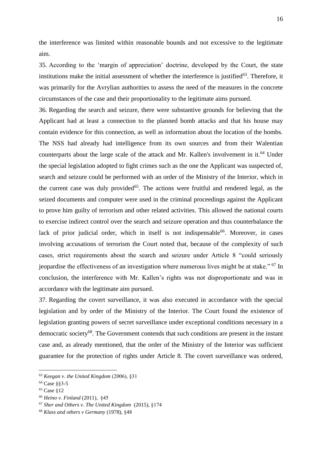the interference was limited within reasonable bounds and not excessive to the legitimate aim.

35. According to the 'margin of appreciation' doctrine, developed by the Court, the state institutions make the initial assessment of whether the interference is justified $63$ . Therefore, it was primarily for the Avrylian authorities to assess the need of the measures in the concrete circumstances of the case and their proportionality to the legitimate aims pursued.

36. Regarding the search and seizure, there were substantive grounds for believing that the Applicant had at least a connection to the planned bomb attacks and that his house may contain evidence for this connection, as well as information about the location of the bombs. The NSS had already had intelligence from its own sources and from their Walentian counterparts about the large scale of the attack and Mr. Kallen's involvement in it.<sup>64</sup> Under the special legislation adopted to fight crimes such as the one the Applicant was suspected of, search and seizure could be performed with an order of the Ministry of the Interior, which in the current case was duly provided<sup>65</sup>. The actions were fruitful and rendered legal, as the seized documents and computer were used in the criminal proceedings against the Applicant to prove him guilty of terrorism and other related activities. This allowed the national courts to exercise indirect control over the search and seizure operation and thus counterbalance the lack of prior judicial order, which in itself is not indispensable<sup>66</sup>. Moreover, in cases involving accusations of terrorism the Court noted that, because of the complexity of such cases, strict requirements about the search and seizure under Article 8 "could seriously jeopardise the effectiveness of an investigation where numerous lives might be at stake." <sup>67</sup> In conclusion, the interference with Mr. Kallen's rights was not disproportionate and was in accordance with the legitimate aim pursued.

37. Regarding the covert surveillance, it was also executed in accordance with the special legislation and by order of the Ministry of the Interior. The Court found the existence of legislation granting powers of secret surveillance under exceptional conditions necessary in a democratic society<sup>68</sup>. The Government contends that such conditions are present in the instant case and, as already mentioned, that the order of the Ministry of the Interior was sufficient guarantee for the protection of rights under Article 8. The covert surveillance was ordered,

<sup>63</sup> *Keegan v. the United Kingdom* (2006), §31

<sup>64</sup> Case §§3-5

<sup>65</sup> Case §12

<sup>66</sup> *Heino v. Finland* (2011), §45

<sup>67</sup> *Sher and Others v. The United Kingdom* (2015), §174

<sup>68</sup> *Klass and others v Germany* (1978), §48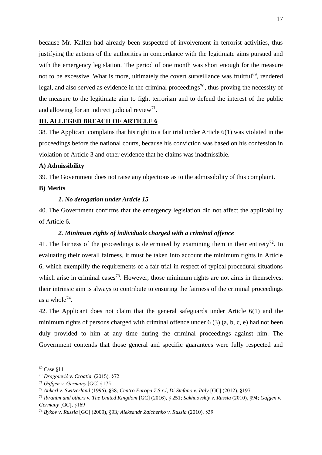because Mr. Kallen had already been suspected of involvement in terrorist activities, thus justifying the actions of the authorities in concordance with the legitimate aims pursued and with the emergency legislation. The period of one month was short enough for the measure not to be excessive. What is more, ultimately the covert surveillance was fruitful<sup>69</sup>, rendered legal, and also served as evidence in the criminal proceedings<sup>70</sup>, thus proving the necessity of the measure to the legitimate aim to fight terrorism and to defend the interest of the public and allowing for an indirect judicial review<sup>71</sup>.

# <span id="page-16-0"></span>**III. ALLEGED BREACH OF ARTICLE 6**

38. The Applicant complains that his right to a fair trial under Article 6(1) was violated in the proceedings before the national courts, because his conviction was based on his confession in violation of Article 3 and other evidence that he claims was inadmissible.

#### <span id="page-16-1"></span>**A) Admissibility**

39. The Government does not raise any objections as to the admissibility of this complaint.

#### <span id="page-16-2"></span>**B) Merits**

# *1. No derogation under Article 15*

40. The Government confirms that the emergency legislation did not affect the applicability of Article 6.

# *2. Minimum rights of individuals charged with a criminal offence*

41. The fairness of the proceedings is determined by examining them in their entirety<sup>72</sup>. In evaluating their overall fairness, it must be taken into account the minimum rights in Article 6, which exemplify the requirements of a fair trial in respect of typical procedural situations which arise in criminal cases<sup>73</sup>. However, those minimum rights are not aims in themselves: their intrinsic aim is always to contribute to ensuring the fairness of the criminal proceedings as a whole<sup>74</sup>.

42. The Applicant does not claim that the general safeguards under Article 6(1) and the minimum rights of persons charged with criminal offence under 6 (3) (a, b, c, e) had not been duly provided to him at any time during the criminal proceedings against him. The Government contends that those general and specific guarantees were fully respected and

<sup>69</sup> Case §11

<sup>70</sup> *Dragojević v. Croatia* (2015), §72

<sup>71</sup> *Gäfgen v. Germany* [GC] §175

<sup>72</sup> *Ankerl v. Switzerland* (1996), §38; *Centro Europa 7 S.r.l, Di Stefano v. Italy* [GC] (2012), §197

<sup>73</sup> *Ibrahim and others v. The United Kingdom* [GC] (2016), § 251; *Sakhnovskiy v. Russia* (2010), §94; *Gafgen v. Germany* [GC], §169

<sup>74</sup> *Bykov v. Russia* [GC] (2009), §93*; Aleksandr Zaichenko v. Russia* (2010), §39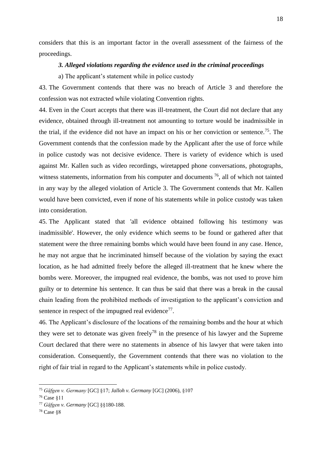considers that this is an important factor in the overall assessment of the fairness of the proceedings.

#### *3. Alleged violations regarding the evidence used in the criminal proceedings*

a) The applicant's statement while in police custody

43. The Government contends that there was no breach of Article 3 and therefore the confession was not extracted while violating Convention rights.

44. Even in the Court accepts that there was ill-treatment, the Court did not declare that any evidence, obtained through ill-treatment not amounting to torture would be inadmissible in the trial, if the evidence did not have an impact on his or her conviction or sentence.<sup>75</sup>. The Government contends that the confession made by the Applicant after the use of force while in police custody was not decisive evidence. There is variety of evidence which is used against Mr. Kallen such as video recordings, wiretapped phone conversations, photographs, witness statements, information from his computer and documents <sup>76</sup>, all of which not tainted in any way by the alleged violation of Article 3. The Government contends that Mr. Kallen would have been convicted, even if none of his statements while in police custody was taken into consideration.

45. The Applicant stated that 'all evidence obtained following his testimony was inadmissible'. However, the only evidence which seems to be found or gathered after that statement were the three remaining bombs which would have been found in any case. Hence, he may not argue that he incriminated himself because of the violation by saying the exact location, as he had admitted freely before the alleged ill-treatment that he knew where the bombs were. Moreover, the impugned real evidence, the bombs, was not used to prove him guilty or to determine his sentence. It can thus be said that there was a break in the causal chain leading from the prohibited methods of investigation to the applicant's conviction and sentence in respect of the impugned real evidence $77$ .

46. The Applicant's disclosure of the locations of the remaining bombs and the hour at which they were set to detonate was given freely<sup>78</sup> in the presence of his lawyer and the Supreme Court declared that there were no statements in absence of his lawyer that were taken into consideration. Consequently, the Government contends that there was no violation to the right of fair trial in regard to the Applicant's statements while in police custody.

<sup>75</sup> *Gäfgen v. Germany* [GC] §17; *Jalloh v. Germany* [GC] (2006), §107

<sup>76</sup> Case §11

<sup>77</sup> *Gäfgen v. Germany* [GC] §§180-188.

<sup>78</sup> Case §8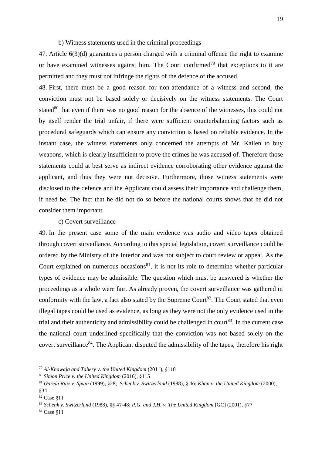#### b) Witness statements used in the criminal proceedings

47. Article 6(3)(d) guarantees a person charged with a criminal offence the right to examine or have examined witnesses against him. The Court confirmed<sup>79</sup> that exceptions to it are permitted and they must not infringe the rights of the defence of the accused.

48. First, there must be a good reason for non-attendance of a witness and second, the conviction must not be based solely or decisively on the witness statements. The Court stated<sup>80</sup> that even if there was no good reason for the absence of the witnesses, this could not by itself render the trial unfair, if there were sufficient counterbalancing factors such as procedural safeguards which can ensure any conviction is based on reliable evidence. In the instant case, the witness statements only concerned the attempts of Mr. Kallen to buy weapons, which is clearly insufficient to prove the crimes he was accused of. Therefore those statements could at best serve as indirect evidence corroborating other evidence against the applicant, and thus they were not decisive. Furthermore, those witness statements were disclosed to the defence and the Applicant could assess their importance and challenge them, if need be. The fact that he did not do so before the national courts shows that he did not consider them important.

# c) Covert surveillance

49. In the present case some of the main evidence was audio and video tapes obtained through covert surveillance. According to this special legislation, covert surveillance could be ordered by the Ministry of the Interior and was not subject to court review or appeal. As the Court explained on numerous occasions<sup>81</sup>, it is not its role to determine whether particular types of evidence may be admissible. The question which must be answered is whether the proceedings as a whole were fair. As already proven, the covert surveillance was gathered in conformity with the law, a fact also stated by the Supreme Court<sup>82</sup>. The Court stated that even illegal tapes could be used as evidence, as long as they were not the only evidence used in the trial and their authenticity and admissibility could be challenged in court<sup>83</sup>. In the current case the national court underlined specifically that the conviction was not based solely on the covert surveillance $84$ . The Applicant disputed the admissibility of the tapes, therefore his right

<sup>79</sup> *Al-Khawaja and Tahery v. the United Kingdom* (2011), §118

<sup>80</sup> *Simon Price v. the United Kingdom* (2016), §115

<sup>81</sup> *García Ruiz v. Spain* (1999), §28; *Schenk v. Switzerland* (1988), § 46; *Khan v. the United Kingdom* (2000), §34

<sup>82</sup> Case §11

<sup>83</sup> *Schenk v. Switzerland* (1988), §§ 47-48; *P.G. and J.H. v. The United Kingdom* [GC] (2001), §77

<sup>84</sup> Case §11